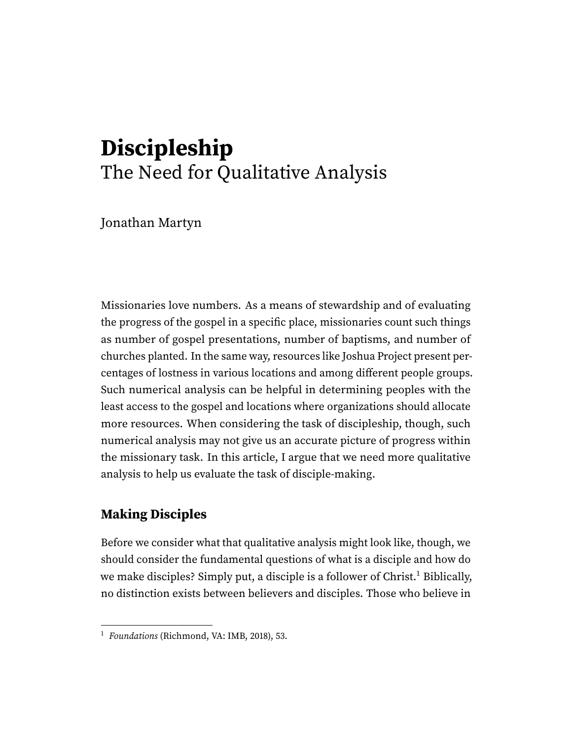# **Discipleship** The Need for Qualitative Analysis

Jonathan Martyn

Missionaries love numbers. As a means of stewardship and of evaluating the progress of the gospel in a specific place, missionaries count such things as number of gospel presentations, number of baptisms, and number of churches planted. In the same way, resources like Joshua Project present percentages of lostness in various locations and among different people groups. Such numerical analysis can be helpful in determining peoples with the least access to the gospel and locations where organizations should allocate more resources. When considering the task of discipleship, though, such numerical analysis may not give us an accurate picture of progress within the missionary task. In this article, I argue that we need more qualitative analysis to help us evaluate the task of disciple-making.

## **Making Disciples**

<span id="page-0-1"></span>Before we consider what that qualitative analysis might look like, though, we should consider the fundamental questions of what is a disciple and how do we make disciples? Simply put, a disciple is a follower of Christ.<sup>[1](#page-0-0)</sup> Biblically, no distinction exists between believers and disciples. Those who believe in

<span id="page-0-0"></span><sup>&</sup>lt;sup>[1](#page-0-1)</sup> Foundations (Richmond, VA: IMB, 2018), 53.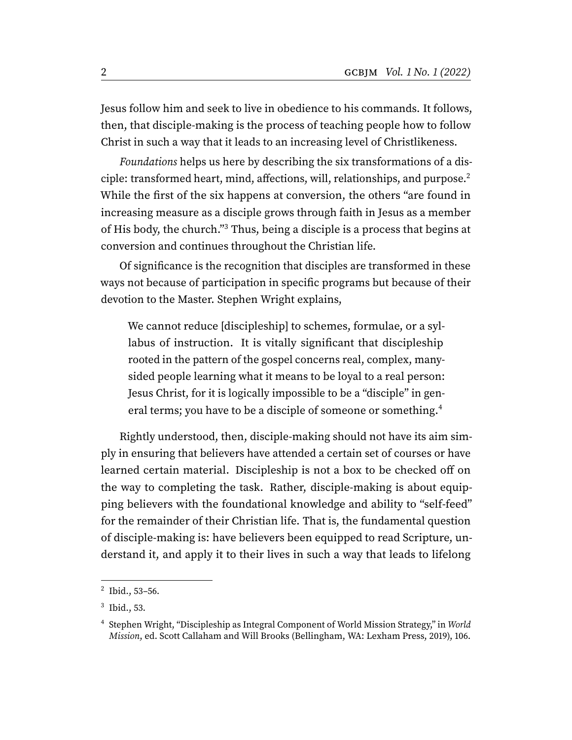Jesus follow him and seek to live in obedience to his commands. It follows, then, that disciple-making is the process of teaching people how to follow Christ in such a way that it leads to an increasing level of Christlikeness.

<span id="page-1-3"></span>Foundations helps us here by describing the six transformations of a dis-ciple: transformed heart, mind, affections, will, relationships, and purpose.<sup>[2](#page-1-0)</sup> While the first of the six happens at conversion, the others "are found in increasing measure as a disciple grows through faith in Jesus as a member of His body, the church."[3](#page-1-1) Thus, being a disciple is a process that begins at conversion and continues throughout the Christian life.

<span id="page-1-4"></span>Of significance is the recognition that disciples are transformed in these ways not because of participation in specific programs but because of their devotion to the Master. Stephen Wright explains,

<span id="page-1-5"></span>We cannot reduce [discipleship] to schemes, formulae, or a syllabus of instruction. It is vitally significant that discipleship rooted in the pattern of the gospel concerns real, complex, manysided people learning what it means to be loyal to a real person: Jesus Christ, for it is logically impossible to be a "disciple" in gen-eral terms; you have to be a disciple of someone or something.<sup>[4](#page-1-2)</sup>

Rightly understood, then, disciple-making should not have its aim simply in ensuring that believers have attended a certain set of courses or have learned certain material. Discipleship is not a box to be checked off on the way to completing the task. Rather, disciple-making is about equipping believers with the foundational knowledge and ability to "self-feed" for the remainder of their Christian life. That is, the fundamental question of disciple-making is: have believers been equipped to read Scripture, understand it, and apply it to their lives in such a way that leads to lifelong

<span id="page-1-0"></span> $^{2}$  $^{2}$  $^{2}$  Ibid., 53-56.

<span id="page-1-1"></span> $3$  Ibid., 53.

<span id="page-1-2"></span>[<sup>4</sup>](#page-1-5) Stephen Wright, "Discipleship as Integral Component of World Mission Strategy," in World Mission, ed. Scott Callaham and Will Brooks (Bellingham, WA: Lexham Press, 2019), 106.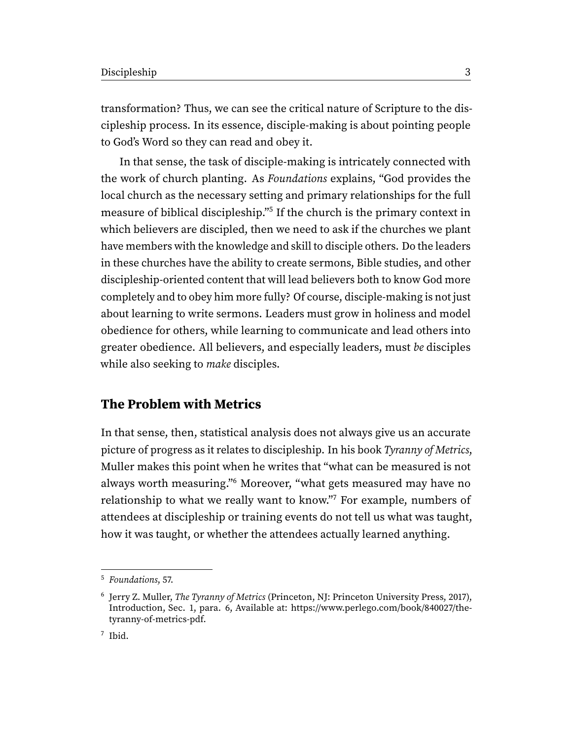transformation? Thus, we can see the critical nature of Scripture to the discipleship process. In its essence, disciple-making is about pointing people to God's Word so they can read and obey it.

<span id="page-2-3"></span>In that sense, the task of disciple-making is intricately connected with the work of church planting. As Foundations explains, "God provides the local church as the necessary setting and primary relationships for the full measure of biblical discipleship."<sup>[5](#page-2-0)</sup> If the church is the primary context in which believers are discipled, then we need to ask if the churches we plant have members with the knowledge and skill to disciple others. Do the leaders in these churches have the ability to create sermons, Bible studies, and other discipleship-oriented content that will lead believers both to know God more completely and to obey him more fully? Of course, disciple-making is not just about learning to write sermons. Leaders must grow in holiness and model obedience for others, while learning to communicate and lead others into greater obedience. All believers, and especially leaders, must be disciples while also seeking to *make* disciples.

#### **The Problem with Metrics**

<span id="page-2-5"></span><span id="page-2-4"></span>In that sense, then, statistical analysis does not always give us an accurate picture of progress as it relates to discipleship. In his book Tyranny of Metrics, Muller makes this point when he writes that "what can be measured is not always worth measuring."[6](#page-2-1) Moreover, "what gets measured may have no relationship to what we really want to know."[7](#page-2-2) For example, numbers of attendees at discipleship or training events do not tell us what was taught, how it was taught, or whether the attendees actually learned anything.

<span id="page-2-0"></span>[<sup>5</sup>](#page-2-3) Foundations, 57.

<span id="page-2-2"></span><span id="page-2-1"></span><sup>&</sup>lt;sup>[6](#page-2-4)</sup> Jerry Z. Muller, *The Tyranny of Metrics* (Princeton, NJ: Princeton University Press, 2017), Introduction, Sec. 1, para. 6, Available at: https://www.perlego.com/book/840027/thetyranny-of-metrics-pdf.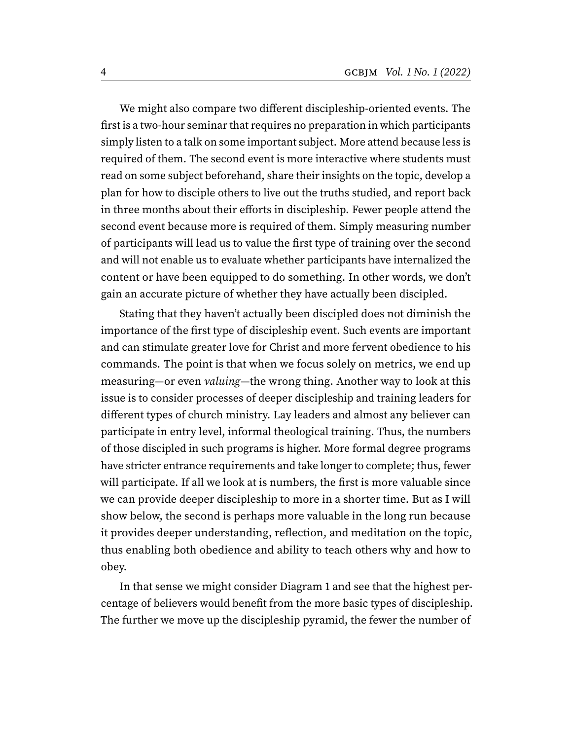We might also compare two different discipleship-oriented events. The first is a two-hour seminar that requires no preparation in which participants simply listen to a talk on some important subject. More attend because less is required of them. The second event is more interactive where students must read on some subject beforehand, share their insights on the topic, develop a plan for how to disciple others to live out the truths studied, and report back in three months about their efforts in discipleship. Fewer people attend the second event because more is required of them. Simply measuring number of participants will lead us to value the first type of training over the second and will not enable us to evaluate whether participants have internalized the content or have been equipped to do something. In other words, we don't gain an accurate picture of whether they have actually been discipled.

Stating that they haven't actually been discipled does not diminish the importance of the first type of discipleship event. Such events are important and can stimulate greater love for Christ and more fervent obedience to his commands. The point is that when we focus solely on metrics, we end up measuring—or even valuing—the wrong thing. Another way to look at this issue is to consider processes of deeper discipleship and training leaders for different types of church ministry. Lay leaders and almost any believer can participate in entry level, informal theological training. Thus, the numbers of those discipled in such programs is higher. More formal degree programs have stricter entrance requirements and take longer to complete; thus, fewer will participate. If all we look at is numbers, the first is more valuable since we can provide deeper discipleship to more in a shorter time. But as I will show below, the second is perhaps more valuable in the long run because it provides deeper understanding, reflection, and meditation on the topic, thus enabling both obedience and ability to teach others why and how to obey.

In that sense we might consider Diagram 1 and see that the highest percentage of believers would benefit from the more basic types of discipleship. The further we move up the discipleship pyramid, the fewer the number of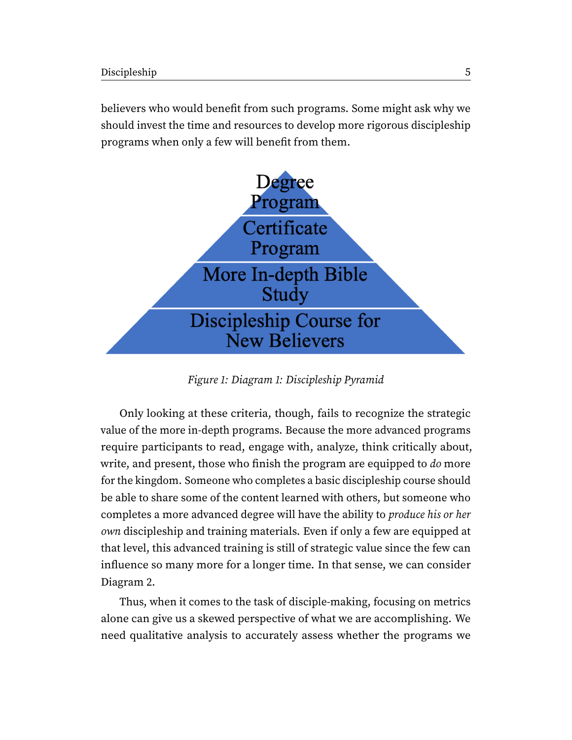believers who would benefit from such programs. Some might ask why we should invest the time and resources to develop more rigorous discipleship programs when only a few will benefit from them.



Figure 1: Diagram 1: Discipleship Pyramid

Only looking at these criteria, though, fails to recognize the strategic value of the more in-depth programs. Because the more advanced programs require participants to read, engage with, analyze, think critically about, write, and present, those who finish the program are equipped to do more for the kingdom. Someone who completes a basic discipleship course should be able to share some of the content learned with others, but someone who completes a more advanced degree will have the ability to produce his or her own discipleship and training materials. Even if only a few are equipped at that level, this advanced training is still of strategic value since the few can influence so many more for a longer time. In that sense, we can consider Diagram 2.

Thus, when it comes to the task of disciple-making, focusing on metrics alone can give us a skewed perspective of what we are accomplishing. We need qualitative analysis to accurately assess whether the programs we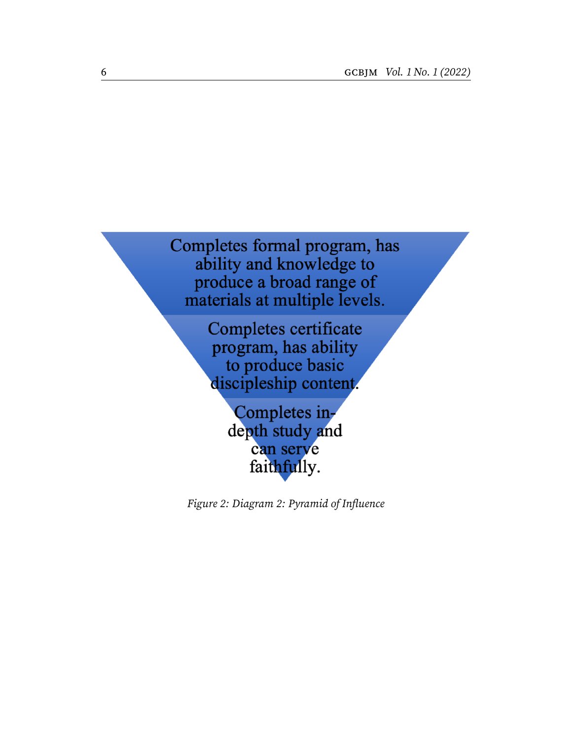Completes formal program, has ability and knowledge to produce a broad range of materials at multiple levels.

> Completes certificate program, has ability to produce basic discipleship content.

> > Completes indepth study and can serve faithfully.

Figure 2: Diagram 2: Pyramid of Influence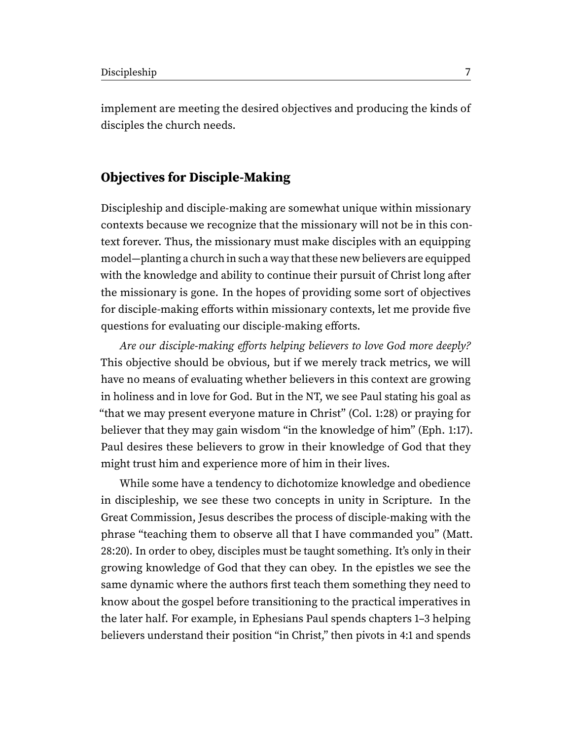implement are meeting the desired objectives and producing the kinds of disciples the church needs.

### **Objectives for Disciple-Making**

Discipleship and disciple-making are somewhat unique within missionary contexts because we recognize that the missionary will not be in this context forever. Thus, the missionary must make disciples with an equipping model—planting a church in such a way that these new believers are equipped with the knowledge and ability to continue their pursuit of Christ long after the missionary is gone. In the hopes of providing some sort of objectives for disciple-making efforts within missionary contexts, let me provide five questions for evaluating our disciple-making efforts.

Are our disciple-making efforts helping believers to love God more deeply? This objective should be obvious, but if we merely track metrics, we will have no means of evaluating whether believers in this context are growing in holiness and in love for God. But in the NT, we see Paul stating his goal as "that we may present everyone mature in Christ" (Col. 1:28) or praying for believer that they may gain wisdom "in the knowledge of him" (Eph. 1:17). Paul desires these believers to grow in their knowledge of God that they might trust him and experience more of him in their lives.

While some have a tendency to dichotomize knowledge and obedience in discipleship, we see these two concepts in unity in Scripture. In the Great Commission, Jesus describes the process of disciple-making with the phrase "teaching them to observe all that I have commanded you" (Matt. 28:20). In order to obey, disciples must be taught something. It's only in their growing knowledge of God that they can obey. In the epistles we see the same dynamic where the authors first teach them something they need to know about the gospel before transitioning to the practical imperatives in the later half. For example, in Ephesians Paul spends chapters 1–3 helping believers understand their position "in Christ," then pivots in 4:1 and spends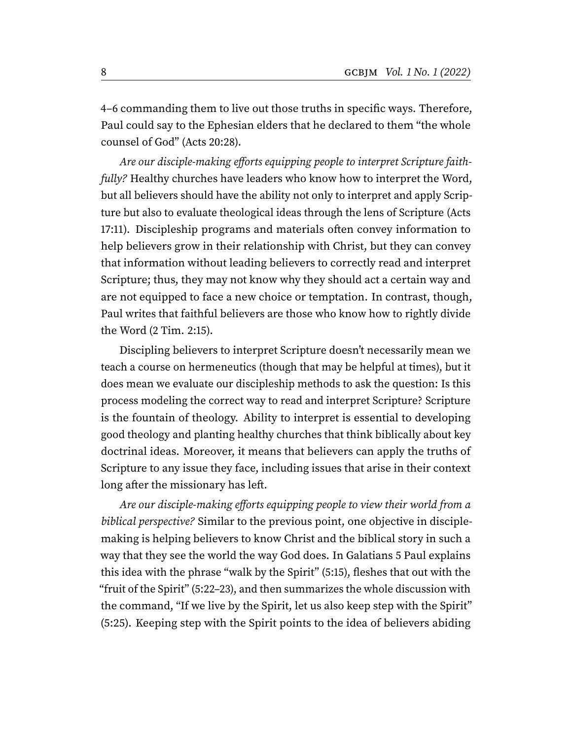4–6 commanding them to live out those truths in specific ways. Therefore, Paul could say to the Ephesian elders that he declared to them "the whole counsel of God" (Acts 20:28).

Are our disciple-making efforts equipping people to interpret Scripture faithfully? Healthy churches have leaders who know how to interpret the Word, but all believers should have the ability not only to interpret and apply Scripture but also to evaluate theological ideas through the lens of Scripture (Acts 17:11). Discipleship programs and materials often convey information to help believers grow in their relationship with Christ, but they can convey that information without leading believers to correctly read and interpret Scripture; thus, they may not know why they should act a certain way and are not equipped to face a new choice or temptation. In contrast, though, Paul writes that faithful believers are those who know how to rightly divide the Word (2 Tim. 2:15).

Discipling believers to interpret Scripture doesn't necessarily mean we teach a course on hermeneutics (though that may be helpful at times), but it does mean we evaluate our discipleship methods to ask the question: Is this process modeling the correct way to read and interpret Scripture? Scripture is the fountain of theology. Ability to interpret is essential to developing good theology and planting healthy churches that think biblically about key doctrinal ideas. Moreover, it means that believers can apply the truths of Scripture to any issue they face, including issues that arise in their context long after the missionary has left.

Are our disciple-making efforts equipping people to view their world from a biblical perspective? Similar to the previous point, one objective in disciplemaking is helping believers to know Christ and the biblical story in such a way that they see the world the way God does. In Galatians 5 Paul explains this idea with the phrase "walk by the Spirit" (5:15), fleshes that out with the "fruit of the Spirit" (5:22–23), and then summarizes the whole discussion with the command, "If we live by the Spirit, let us also keep step with the Spirit" (5:25). Keeping step with the Spirit points to the idea of believers abiding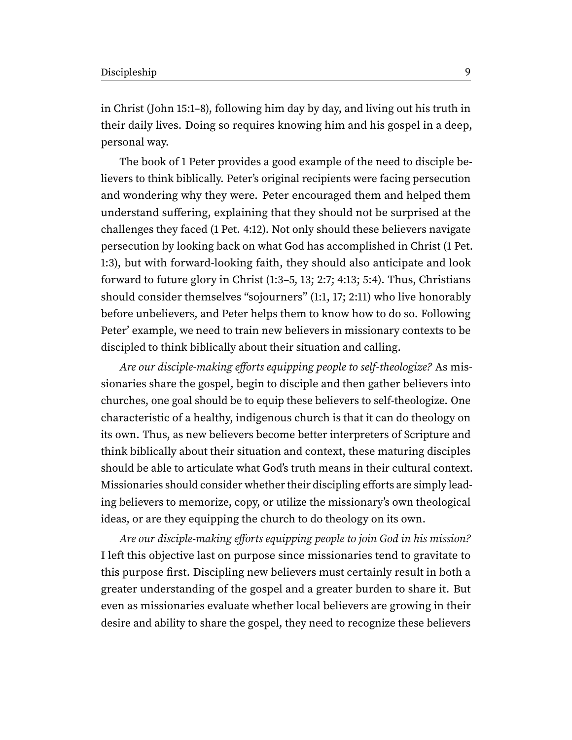in Christ (John 15:1–8), following him day by day, and living out his truth in their daily lives. Doing so requires knowing him and his gospel in a deep, personal way.

The book of 1 Peter provides a good example of the need to disciple believers to think biblically. Peter's original recipients were facing persecution and wondering why they were. Peter encouraged them and helped them understand suffering, explaining that they should not be surprised at the challenges they faced (1 Pet. 4:12). Not only should these believers navigate persecution by looking back on what God has accomplished in Christ (1 Pet. 1:3), but with forward-looking faith, they should also anticipate and look forward to future glory in Christ (1:3–5, 13; 2:7; 4:13; 5:4). Thus, Christians should consider themselves "sojourners" (1:1, 17; 2:11) who live honorably before unbelievers, and Peter helps them to know how to do so. Following Peter' example, we need to train new believers in missionary contexts to be discipled to think biblically about their situation and calling.

Are our disciple-making efforts equipping people to self-theologize? As missionaries share the gospel, begin to disciple and then gather believers into churches, one goal should be to equip these believers to self-theologize. One characteristic of a healthy, indigenous church is that it can do theology on its own. Thus, as new believers become better interpreters of Scripture and think biblically about their situation and context, these maturing disciples should be able to articulate what God's truth means in their cultural context. Missionaries should consider whether their discipling efforts are simply leading believers to memorize, copy, or utilize the missionary's own theological ideas, or are they equipping the church to do theology on its own.

Are our disciple-making efforts equipping people to join God in his mission? I left this objective last on purpose since missionaries tend to gravitate to this purpose first. Discipling new believers must certainly result in both a greater understanding of the gospel and a greater burden to share it. But even as missionaries evaluate whether local believers are growing in their desire and ability to share the gospel, they need to recognize these believers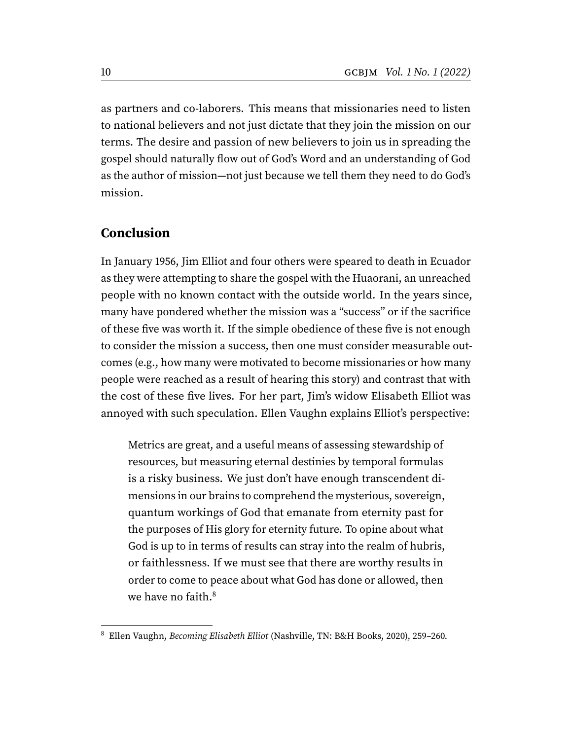as partners and co-laborers. This means that missionaries need to listen to national believers and not just dictate that they join the mission on our terms. The desire and passion of new believers to join us in spreading the gospel should naturally flow out of God's Word and an understanding of God as the author of mission—not just because we tell them they need to do God's mission.

#### **Conclusion**

In January 1956, Jim Elliot and four others were speared to death in Ecuador as they were attempting to share the gospel with the Huaorani, an unreached people with no known contact with the outside world. In the years since, many have pondered whether the mission was a "success" or if the sacrifice of these five was worth it. If the simple obedience of these five is not enough to consider the mission a success, then one must consider measurable outcomes (e.g., how many were motivated to become missionaries or how many people were reached as a result of hearing this story) and contrast that with the cost of these five lives. For her part, Jim's widow Elisabeth Elliot was annoyed with such speculation. Ellen Vaughn explains Elliot's perspective:

Metrics are great, and a useful means of assessing stewardship of resources, but measuring eternal destinies by temporal formulas is a risky business. We just don't have enough transcendent dimensions in our brains to comprehend the mysterious, sovereign, quantum workings of God that emanate from eternity past for the purposes of His glory for eternity future. To opine about what God is up to in terms of results can stray into the realm of hubris, or faithlessness. If we must see that there are worthy results in order to come to peace about what God has done or allowed, then we have no faith.<sup>[8](#page-9-0)</sup>

<span id="page-9-1"></span><span id="page-9-0"></span>[<sup>8</sup>](#page-9-1) Ellen Vaughn, Becoming Elisabeth Elliot (Nashville, TN: B&H Books, 2020), 259–260.